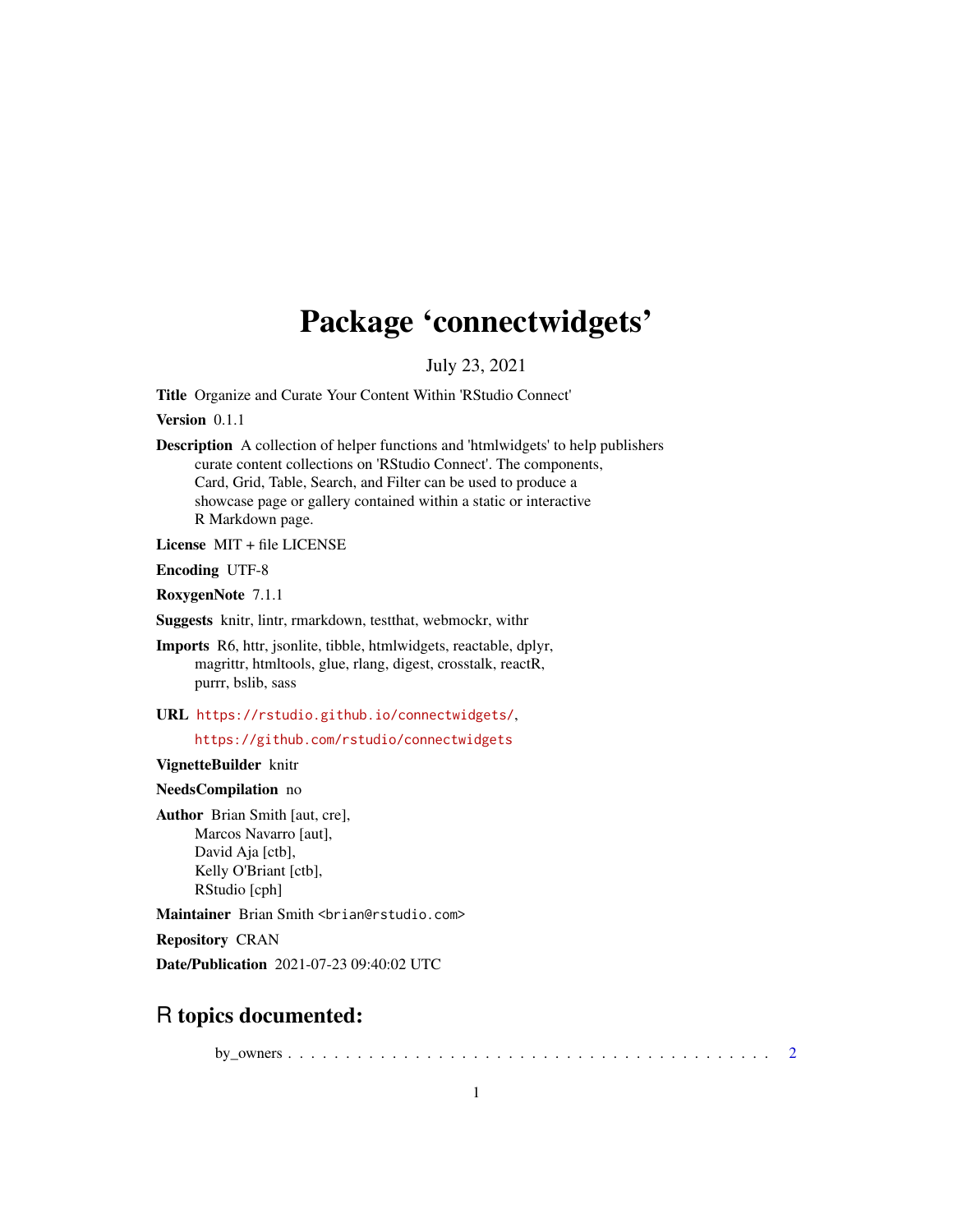# Package 'connectwidgets'

July 23, 2021

<span id="page-0-0"></span>Title Organize and Curate Your Content Within 'RStudio Connect'

Version 0.1.1

Description A collection of helper functions and 'htmlwidgets' to help publishers curate content collections on 'RStudio Connect'. The components, Card, Grid, Table, Search, and Filter can be used to produce a showcase page or gallery contained within a static or interactive R Markdown page.

License MIT + file LICENSE

Encoding UTF-8

RoxygenNote 7.1.1

Suggests knitr, lintr, rmarkdown, testthat, webmockr, withr

Imports R6, httr, jsonlite, tibble, htmlwidgets, reactable, dplyr, magrittr, htmltools, glue, rlang, digest, crosstalk, reactR, purrr, bslib, sass

URL <https://rstudio.github.io/connectwidgets/>,

<https://github.com/rstudio/connectwidgets>

VignetteBuilder knitr

NeedsCompilation no

Author Brian Smith [aut, cre], Marcos Navarro [aut], David Aja [ctb], Kelly O'Briant [ctb], RStudio [cph]

Maintainer Brian Smith <br />brian@rstudio.com>

Repository CRAN

Date/Publication 2021-07-23 09:40:02 UTC

# R topics documented:

by\_owners . . . . . . . . . . . . . . . . . . . . . . . . . . . . . . . . . . . . . . . . . . [2](#page-1-0)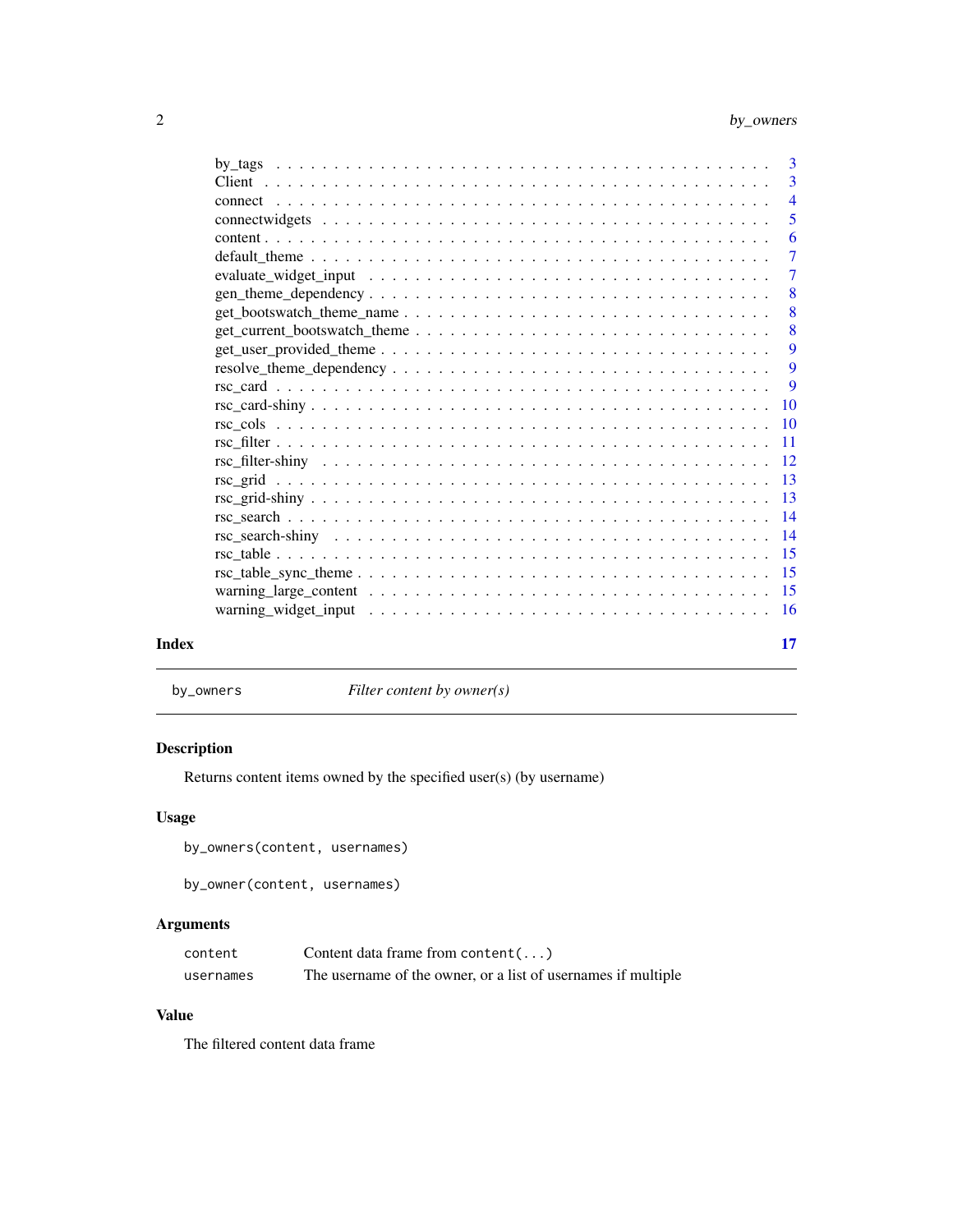# <span id="page-1-0"></span>2 by\_owners

|       |                   | $\overline{3}$  |
|-------|-------------------|-----------------|
|       |                   | 3               |
|       |                   | $\overline{4}$  |
|       |                   | 5               |
|       |                   | 6               |
|       |                   | $\overline{7}$  |
|       |                   | 7               |
|       | $gen\_them$ $\_\$ | 8               |
|       |                   | 8               |
|       |                   | 8               |
|       |                   | -9              |
|       |                   | 9               |
|       |                   | 9               |
|       |                   | 10              |
|       |                   | -10             |
|       |                   | -11             |
|       |                   | 12              |
|       |                   | $\overline{13}$ |
|       |                   | -13             |
|       |                   | -14             |
|       |                   | $\overline{14}$ |
|       |                   | -15             |
|       |                   |                 |
|       |                   |                 |
|       |                   |                 |
|       |                   |                 |
| Index |                   | 17              |

by\_owners *Filter content by owner(s)*

# <span id="page-1-1"></span>Description

Returns content items owned by the specified user(s) (by username)

# Usage

by\_owners(content, usernames)

by\_owner(content, usernames)

# Arguments

| content   | Content data frame from content $(\ldots)$                    |
|-----------|---------------------------------------------------------------|
| usernames | The username of the owner, or a list of usernames if multiple |

# Value

The filtered content data frame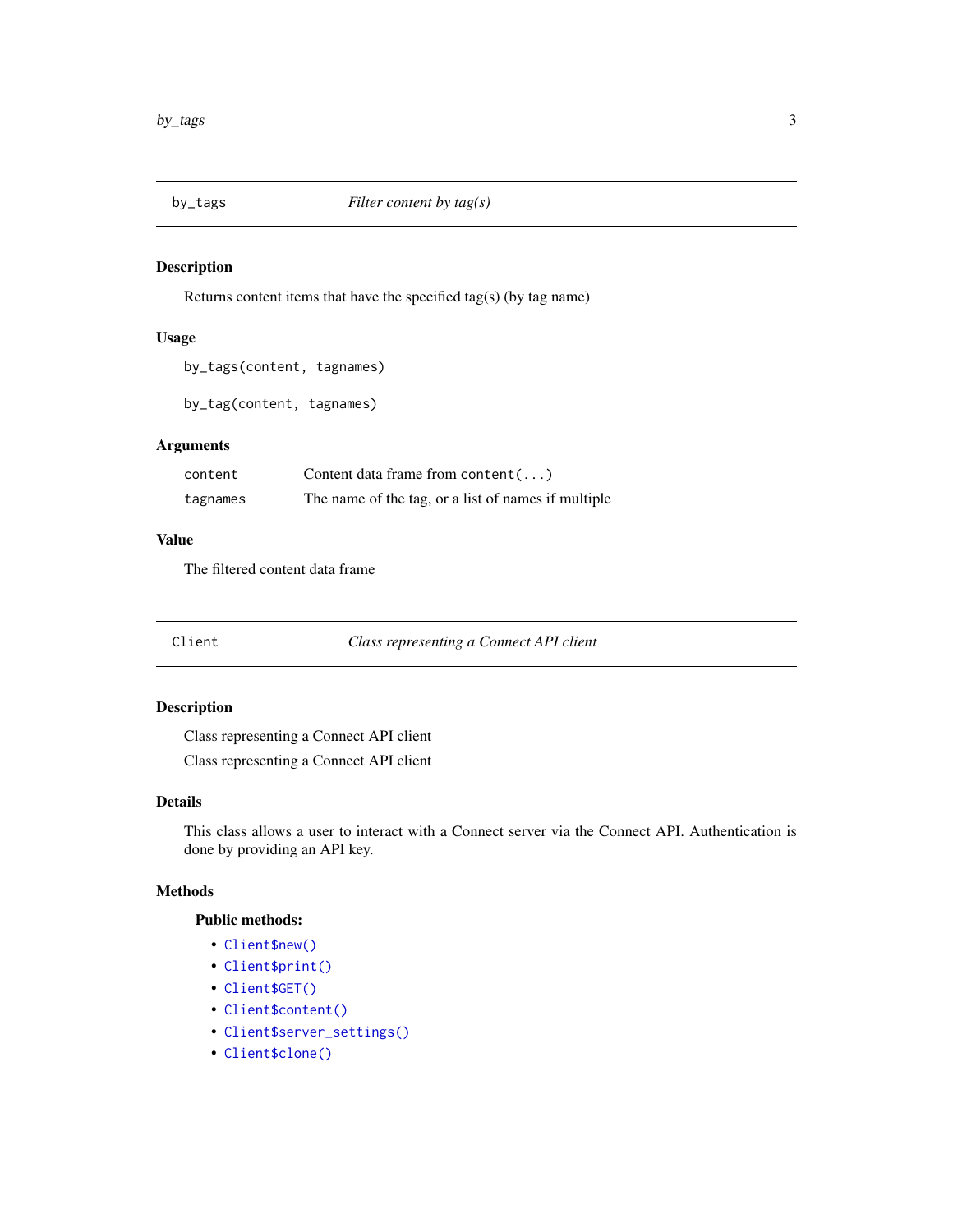<span id="page-2-2"></span><span id="page-2-0"></span>

Returns content items that have the specified tag(s) (by tag name)

# Usage

```
by_tags(content, tagnames)
```
by\_tag(content, tagnames)

# Arguments

| content  | Content data frame from content $(\ldots)$          |
|----------|-----------------------------------------------------|
| tagnames | The name of the tag, or a list of names if multiple |

# Value

The filtered content data frame

Client *Class representing a Connect API client*

# Description

Class representing a Connect API client

Class representing a Connect API client

#### Details

This class allows a user to interact with a Connect server via the Connect API. Authentication is done by providing an API key.

# Methods

# Public methods:

- [Client\\$new\(\)](#page-2-1)
- [Client\\$print\(\)](#page-3-1)
- [Client\\$GET\(\)](#page-3-2)
- [Client\\$content\(\)](#page-3-3)
- [Client\\$server\\_settings\(\)](#page-3-4)
- <span id="page-2-1"></span>• [Client\\$clone\(\)](#page-3-5)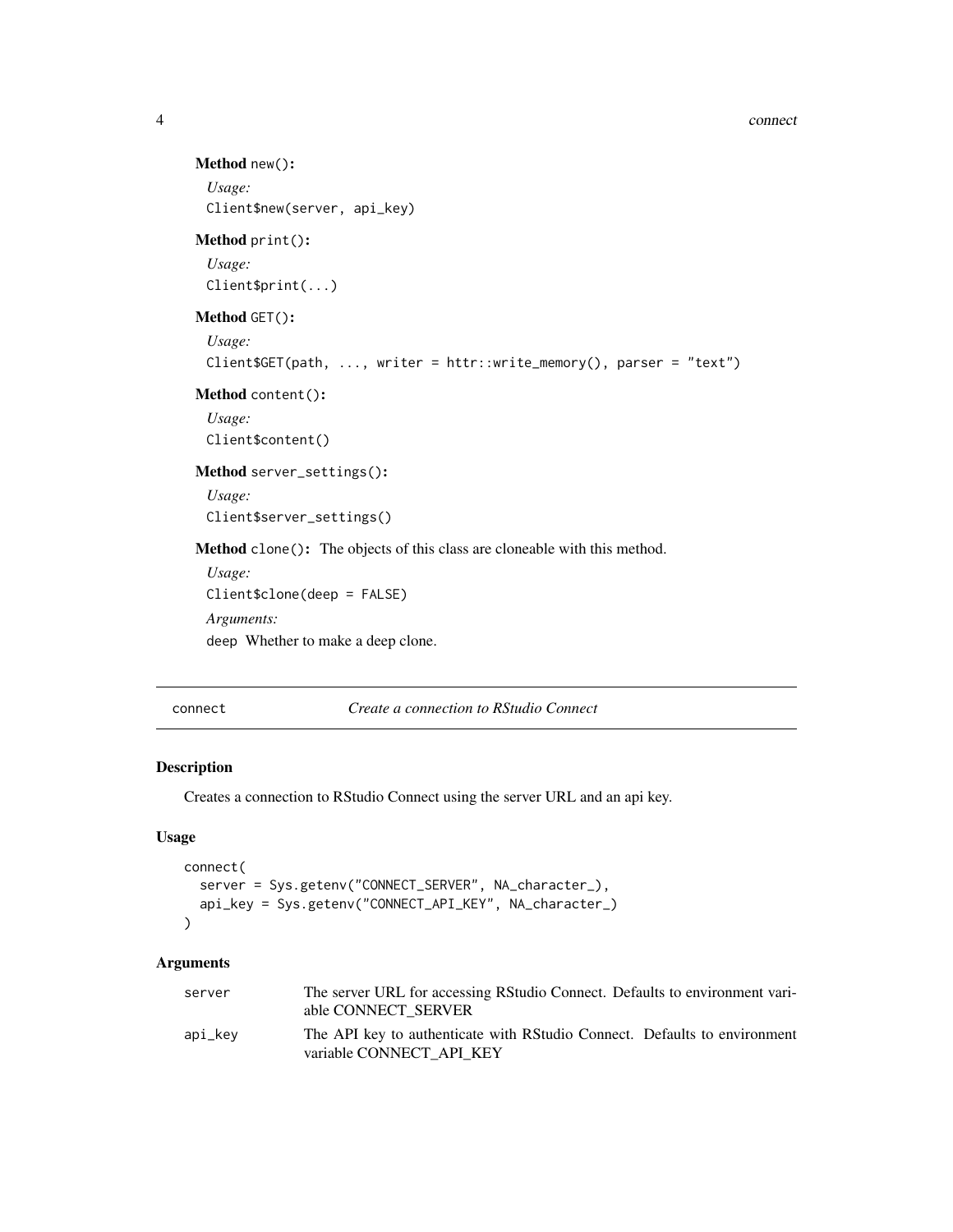```
Method new():
 Usage:
 Client$new(server, api_key)
Method print():
 Usage:
 Client$print(...)
Method GET():
 Usage:
 Client$GET(path, ..., writer = httr::write_memory(), parser = "text")
Method content():
 Usage:
 Client$content()
Method server_settings():
 Usage:
 Client$server_settings()
Method clone(): The objects of this class are cloneable with this method.
 Usage:
 Client$clone(deep = FALSE)
 Arguments:
 deep Whether to make a deep clone.
```
<span id="page-3-6"></span><span id="page-3-5"></span><span id="page-3-4"></span>connect *Create a connection to RStudio Connect*

#### Description

Creates a connection to RStudio Connect using the server URL and an api key.

#### Usage

```
connect(
 server = Sys.getenv("CONNECT_SERVER", NA_character_),
 api_key = Sys.getenv("CONNECT_API_KEY", NA_character_)
)
```

| server  | The server URL for accessing RStudio Connect. Defaults to environment vari-<br>able CONNECT SERVER    |
|---------|-------------------------------------------------------------------------------------------------------|
| api_kev | The API key to authenticate with RStudio Connect. Defaults to environment<br>variable CONNECT API KEY |

<span id="page-3-0"></span>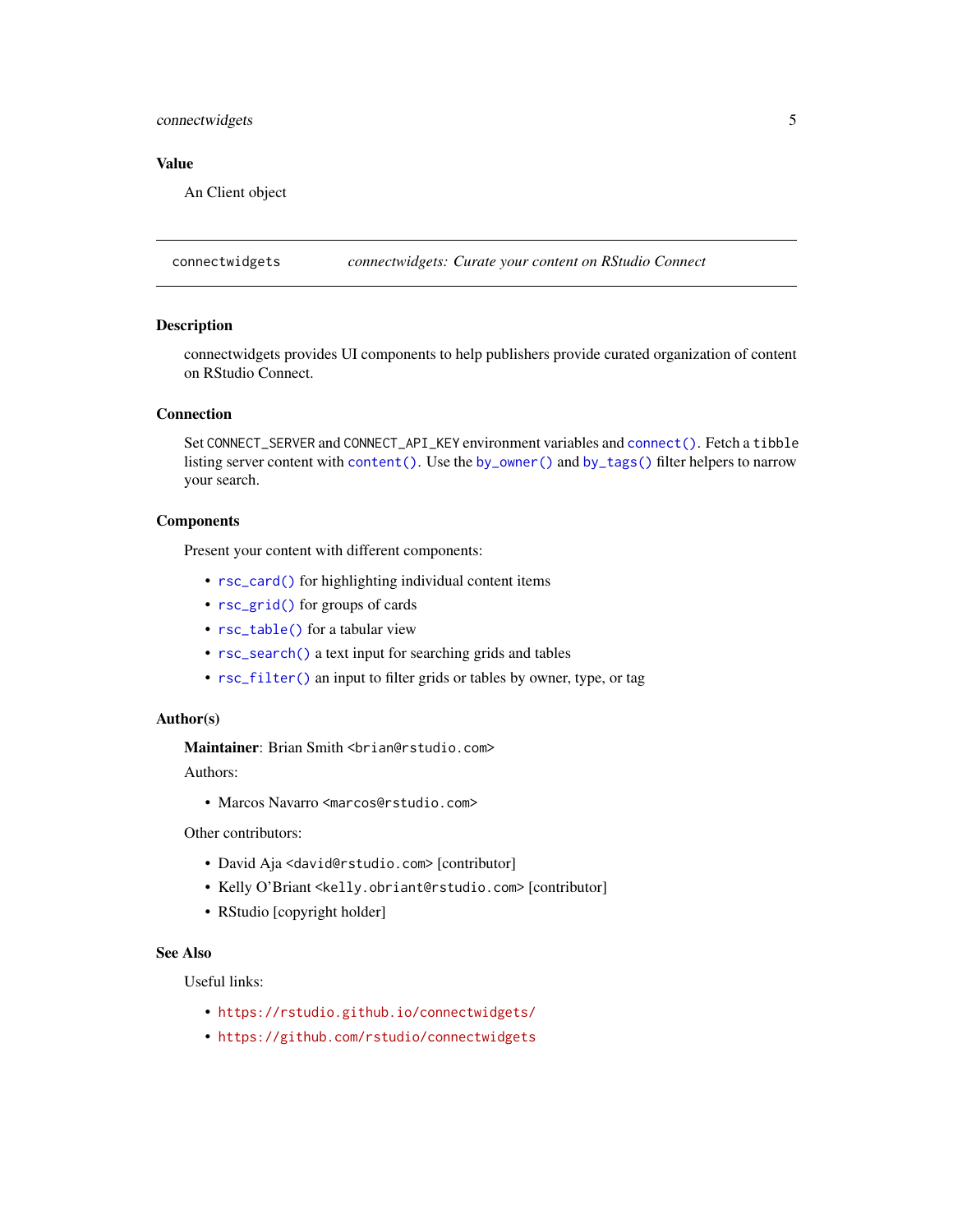# <span id="page-4-0"></span>connectwidgets 5

#### Value

An Client object

connectwidgets *connectwidgets: Curate your content on RStudio Connect*

# **Description**

connectwidgets provides UI components to help publishers provide curated organization of content on RStudio Connect.

#### Connection

Set CONNECT\_SERVER and CONNECT\_API\_KEY environment variables and [connect\(\)](#page-3-6). Fetch a tibble listing server content with [content\(\)](#page-5-1). Use the [by\\_owner\(\)](#page-1-1) and [by\\_tags\(\)](#page-2-2) filter helpers to narrow your search.

#### Components

Present your content with different components:

- [rsc\\_card\(\)](#page-8-1) for highlighting individual content items
- [rsc\\_grid\(\)](#page-12-1) for groups of cards
- [rsc\\_table\(\)](#page-14-1) for a tabular view
- [rsc\\_search\(\)](#page-13-1) a text input for searching grids and tables
- [rsc\\_filter\(\)](#page-10-1) an input to filter grids or tables by owner, type, or tag

#### Author(s)

Maintainer: Brian Smith <br ian@rstudio.com>

Authors:

• Marcos Navarro <marcos@rstudio.com>

Other contributors:

- David Aja <david@rstudio.com> [contributor]
- Kelly O'Briant <kelly.obriant@rstudio.com> [contributor]
- RStudio [copyright holder]

#### See Also

Useful links:

- <https://rstudio.github.io/connectwidgets/>
- <https://github.com/rstudio/connectwidgets>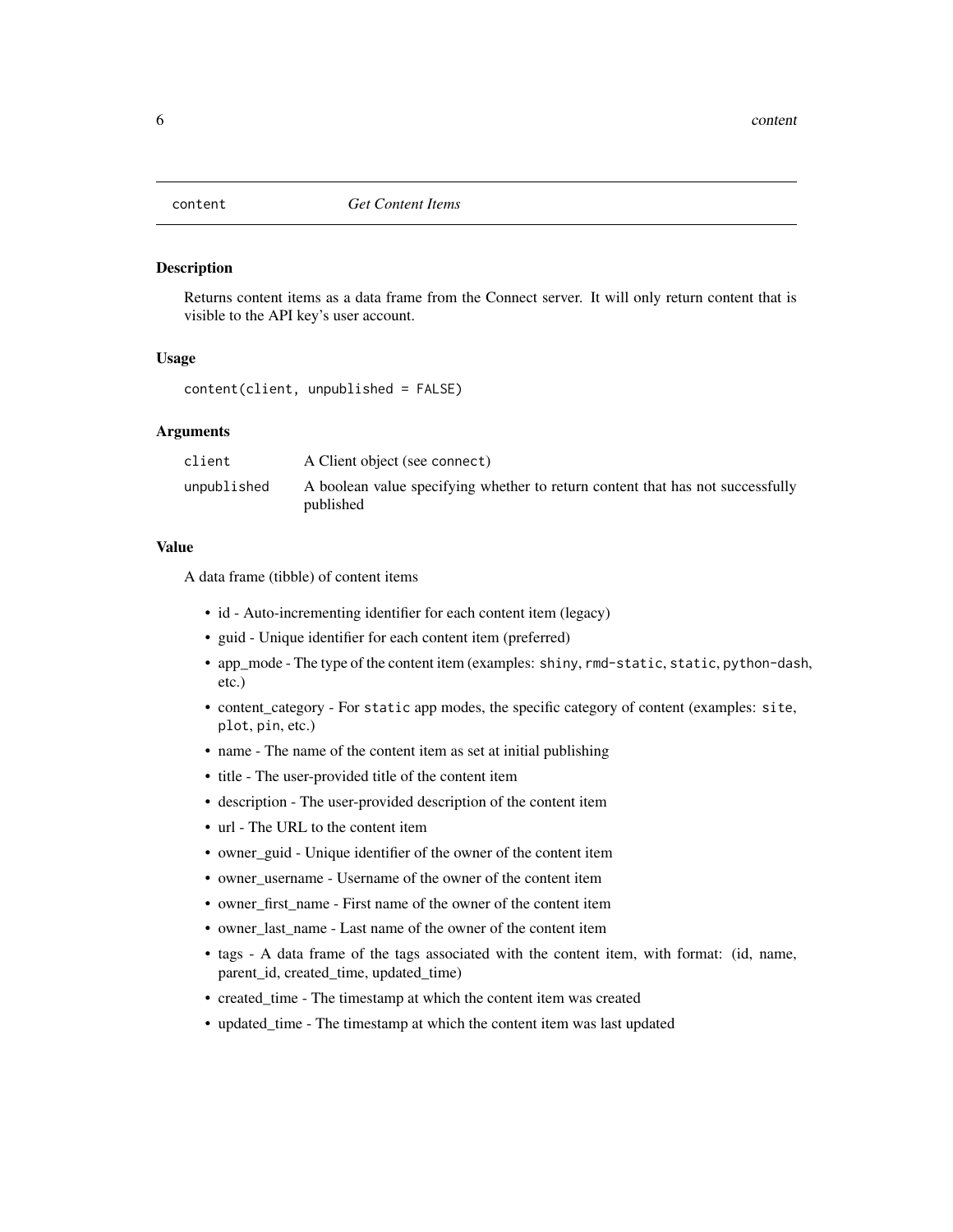<span id="page-5-1"></span><span id="page-5-0"></span>

Returns content items as a data frame from the Connect server. It will only return content that is visible to the API key's user account.

#### Usage

content(client, unpublished = FALSE)

#### Arguments

| client      | A Client object (see connect)                                                               |
|-------------|---------------------------------------------------------------------------------------------|
| unpublished | A boolean value specifying whether to return content that has not successfully<br>published |

#### Value

A data frame (tibble) of content items

- id Auto-incrementing identifier for each content item (legacy)
- guid Unique identifier for each content item (preferred)
- app\_mode The type of the content item (examples: shiny, rmd-static, static, python-dash, etc.)
- content\_category For static app modes, the specific category of content (examples: site, plot, pin, etc.)
- name The name of the content item as set at initial publishing
- title The user-provided title of the content item
- description The user-provided description of the content item
- url The URL to the content item
- owner\_guid Unique identifier of the owner of the content item
- owner username Username of the owner of the content item
- owner\_first\_name First name of the owner of the content item
- owner\_last\_name Last name of the owner of the content item
- tags A data frame of the tags associated with the content item, with format: (id, name, parent\_id, created\_time, updated\_time)
- created\_time The timestamp at which the content item was created
- updated\_time The timestamp at which the content item was last updated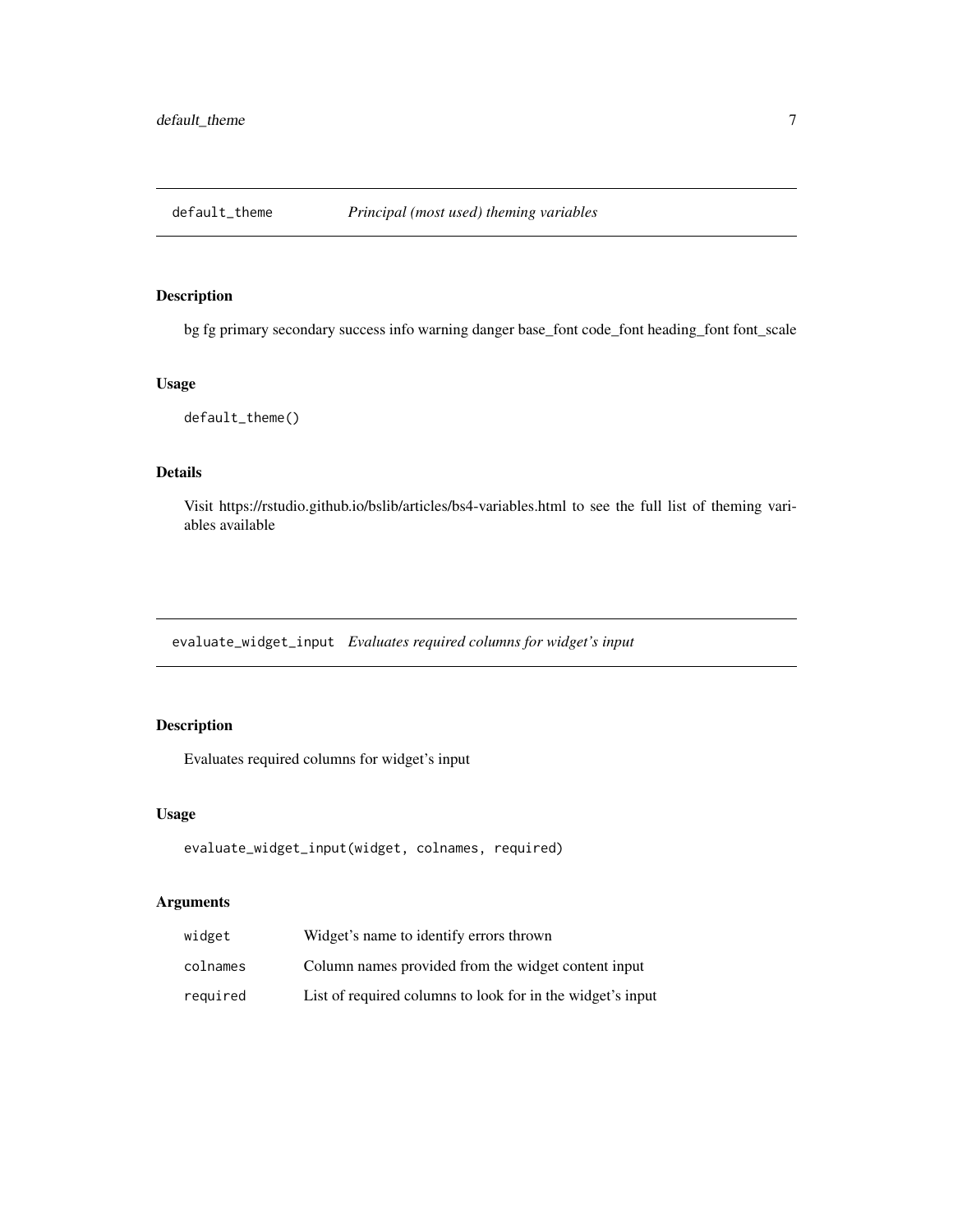<span id="page-6-0"></span>

bg fg primary secondary success info warning danger base\_font code\_font heading\_font font\_scale

#### Usage

default\_theme()

# Details

Visit https://rstudio.github.io/bslib/articles/bs4-variables.html to see the full list of theming variables available

evaluate\_widget\_input *Evaluates required columns for widget's input*

# Description

Evaluates required columns for widget's input

#### Usage

```
evaluate_widget_input(widget, colnames, required)
```

| widget   | Widget's name to identify errors thrown                    |
|----------|------------------------------------------------------------|
| colnames | Column names provided from the widget content input        |
| required | List of required columns to look for in the widget's input |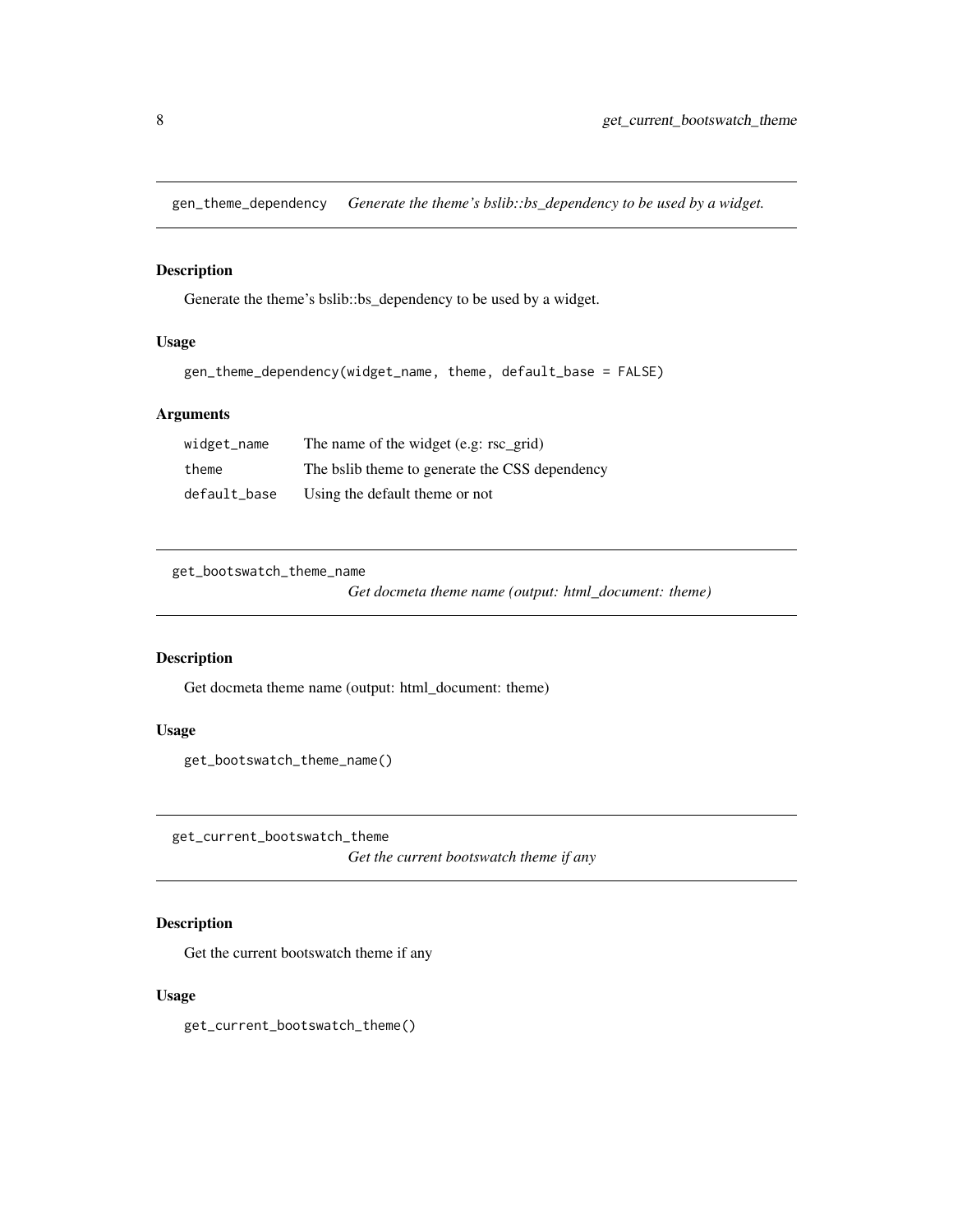<span id="page-7-0"></span>gen\_theme\_dependency *Generate the theme's bslib::bs\_dependency to be used by a widget.*

# Description

Generate the theme's bslib::bs\_dependency to be used by a widget.

# Usage

```
gen_theme_dependency(widget_name, theme, default_base = FALSE)
```
# Arguments

| widget_name  | The name of the widget (e.g: rsc_grid)         |
|--------------|------------------------------------------------|
| theme        | The balib theme to generate the CSS dependency |
| default_base | Using the default theme or not                 |

get\_bootswatch\_theme\_name

*Get docmeta theme name (output: html\_document: theme)*

# Description

Get docmeta theme name (output: html\_document: theme)

### Usage

get\_bootswatch\_theme\_name()

get\_current\_bootswatch\_theme

*Get the current bootswatch theme if any*

# Description

Get the current bootswatch theme if any

#### Usage

get\_current\_bootswatch\_theme()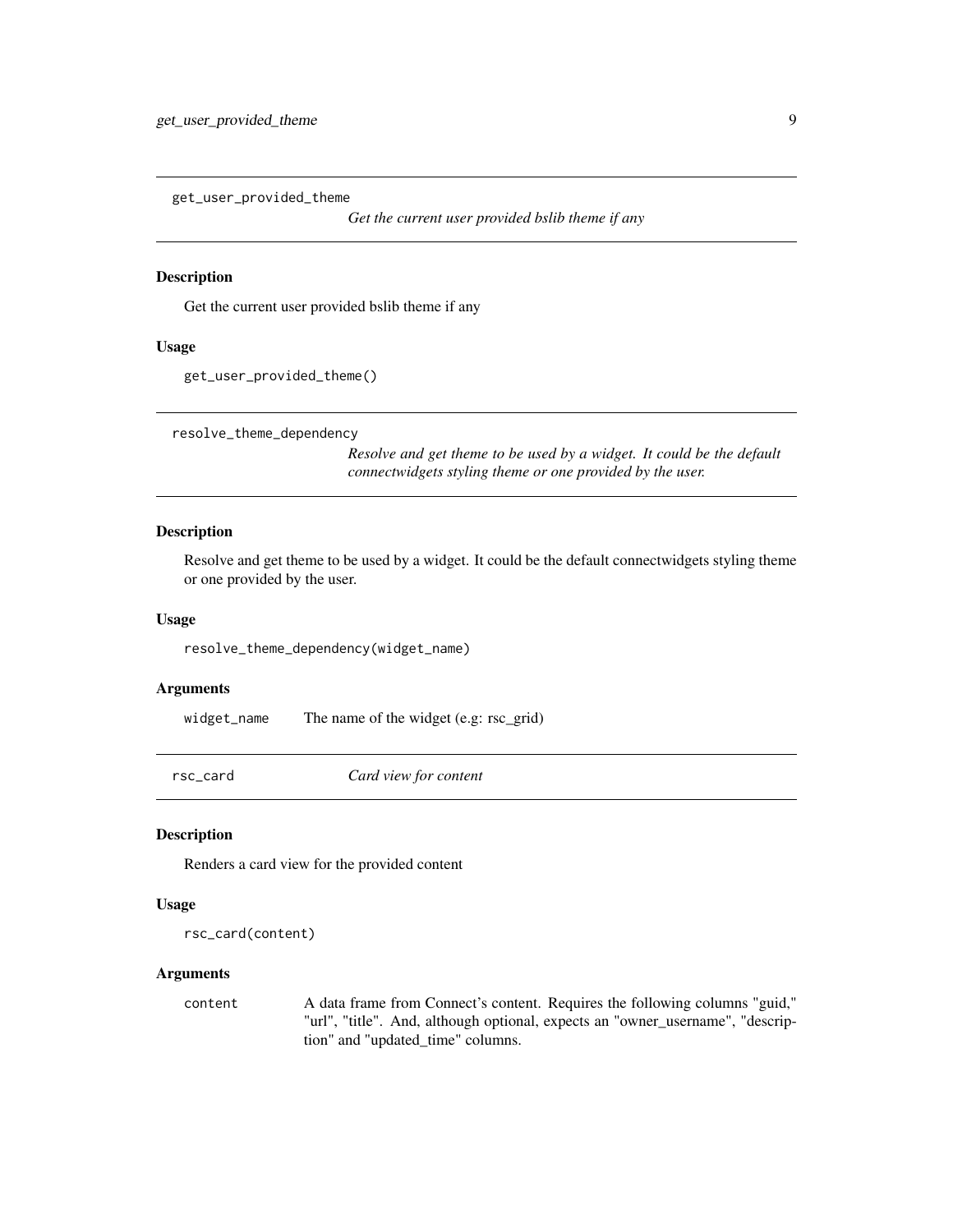<span id="page-8-0"></span>get\_user\_provided\_theme

*Get the current user provided bslib theme if any*

#### Description

Get the current user provided bslib theme if any

#### Usage

```
get_user_provided_theme()
```
resolve\_theme\_dependency

*Resolve and get theme to be used by a widget. It could be the default connectwidgets styling theme or one provided by the user.*

#### Description

Resolve and get theme to be used by a widget. It could be the default connectwidgets styling theme or one provided by the user.

#### Usage

resolve\_theme\_dependency(widget\_name)

#### Arguments

widget\_name The name of the widget (e.g: rsc\_grid)

<span id="page-8-1"></span>rsc\_card *Card view for content*

#### Description

Renders a card view for the provided content

#### Usage

```
rsc_card(content)
```
# Arguments

content A data frame from Connect's content. Requires the following columns "guid," "url", "title". And, although optional, expects an "owner\_username", "description" and "updated\_time" columns.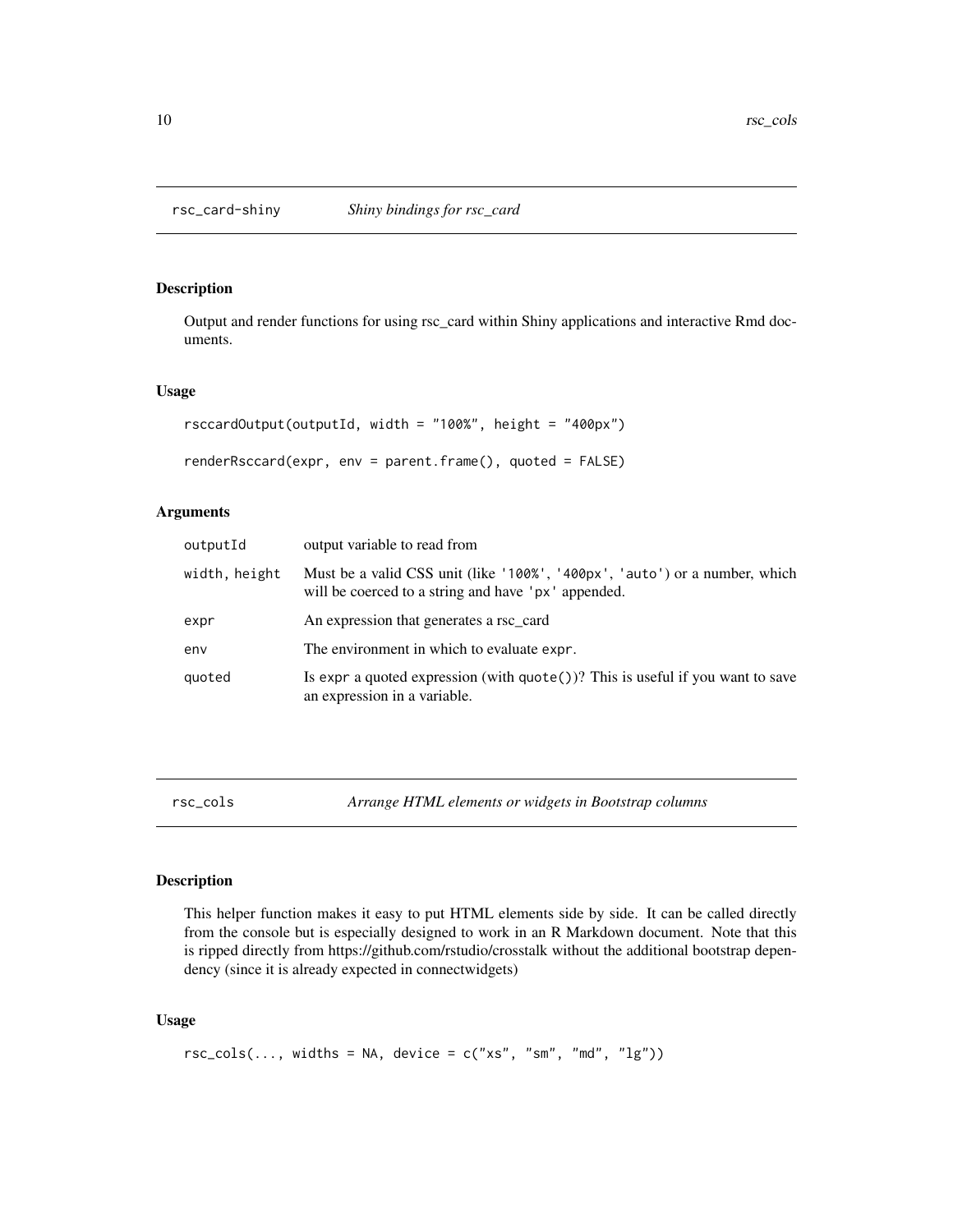<span id="page-9-0"></span>

Output and render functions for using rsc\_card within Shiny applications and interactive Rmd documents.

### Usage

```
rsccardOutput(outputId, width = "100%", height = "400px")
renderRsccard(expr, env = parent.frame(), quoted = FALSE)
```
# Arguments

| outputId      | output variable to read from                                                                                                      |
|---------------|-----------------------------------------------------------------------------------------------------------------------------------|
| width, height | Must be a valid CSS unit (like '100%', '400px', 'auto') or a number, which<br>will be coerced to a string and have 'px' appended. |
| expr          | An expression that generates a rsc_card                                                                                           |
| env           | The environment in which to evaluate expr.                                                                                        |
| quoted        | Is expr a quoted expression (with $\eta$ uote())? This is useful if you want to save<br>an expression in a variable.              |

rsc\_cols *Arrange HTML elements or widgets in Bootstrap columns*

# Description

This helper function makes it easy to put HTML elements side by side. It can be called directly from the console but is especially designed to work in an R Markdown document. Note that this is ripped directly from https://github.com/rstudio/crosstalk without the additional bootstrap dependency (since it is already expected in connectwidgets)

# Usage

```
rsc\_cols(..., widths = NA, device = c("xs", "sm", "md", "lg"))
```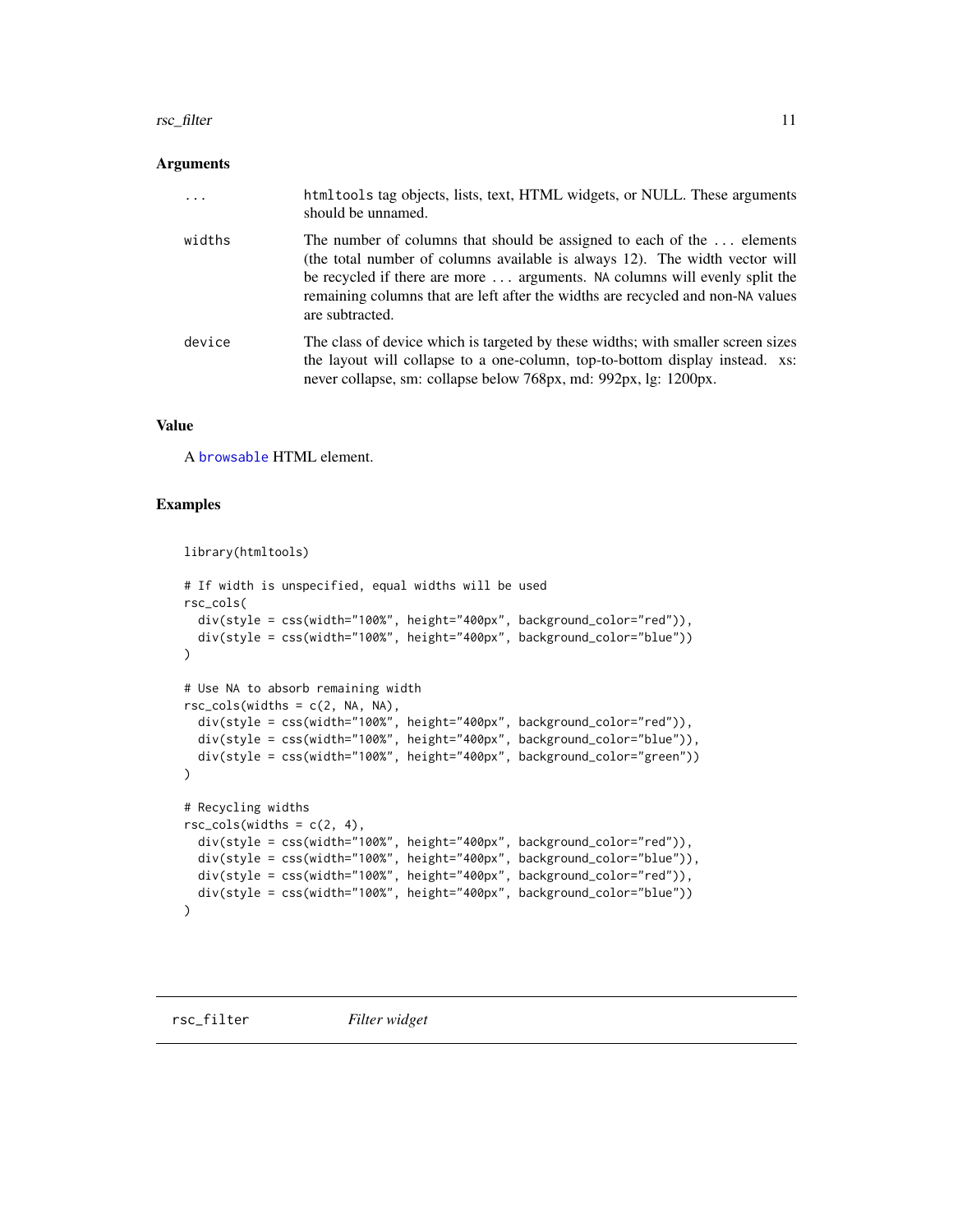#### <span id="page-10-0"></span>rsc\_filter the 11 state of the state of the state of the state of the state of the state of the state of the state of the state of the state of the state of the state of the state of the state of the state of the state of

#### Arguments

| .      | html tools tag objects, lists, text, HTML widgets, or NULL. These arguments<br>should be unnamed.                                                                                                                                                                                                                                         |
|--------|-------------------------------------------------------------------------------------------------------------------------------------------------------------------------------------------------------------------------------------------------------------------------------------------------------------------------------------------|
| widths | The number of columns that should be assigned to each of the  elements<br>(the total number of columns available is always 12). The width vector will<br>be recycled if there are more  arguments. NA columns will evenly split the<br>remaining columns that are left after the widths are recycled and non-NA values<br>are subtracted. |
| device | The class of device which is targeted by these widths; with smaller screen sizes<br>the layout will collapse to a one-column, top-to-bottom display instead. xs:<br>never collapse, sm: collapse below 768px, md: 992px, lg: 1200px.                                                                                                      |

#### Value

A [browsable](#page-0-0) HTML element.

#### Examples

```
library(htmltools)
```

```
# If width is unspecified, equal widths will be used
rsc_cols(
  div(style = css(width="100%", height="400px", background_color="red")),
  div(style = css(width="100%", height="400px", background_color="blue"))
\mathcal{L}# Use NA to absorb remaining width
rsc\_cols(widths = c(2, NA, NA),div(style = css(width="100%", height="400px", background_color="red")),
  div(style = css(width="100%", height="400px", background_color="blue")),
  div(style = css(width="100%", height="400px", background_color="green"))
\lambda# Recycling widths
rsc\_cols(widths = c(2, 4),div(style = css(width="100%", height="400px", background_color="red")),
  div(style = css(width="100%", height="400px", background_color="blue")),
  div(style = css(width="100%", height="400px", background_color="red")),
  div(style = css(width="100%", height="400px", background_color="blue"))
)
```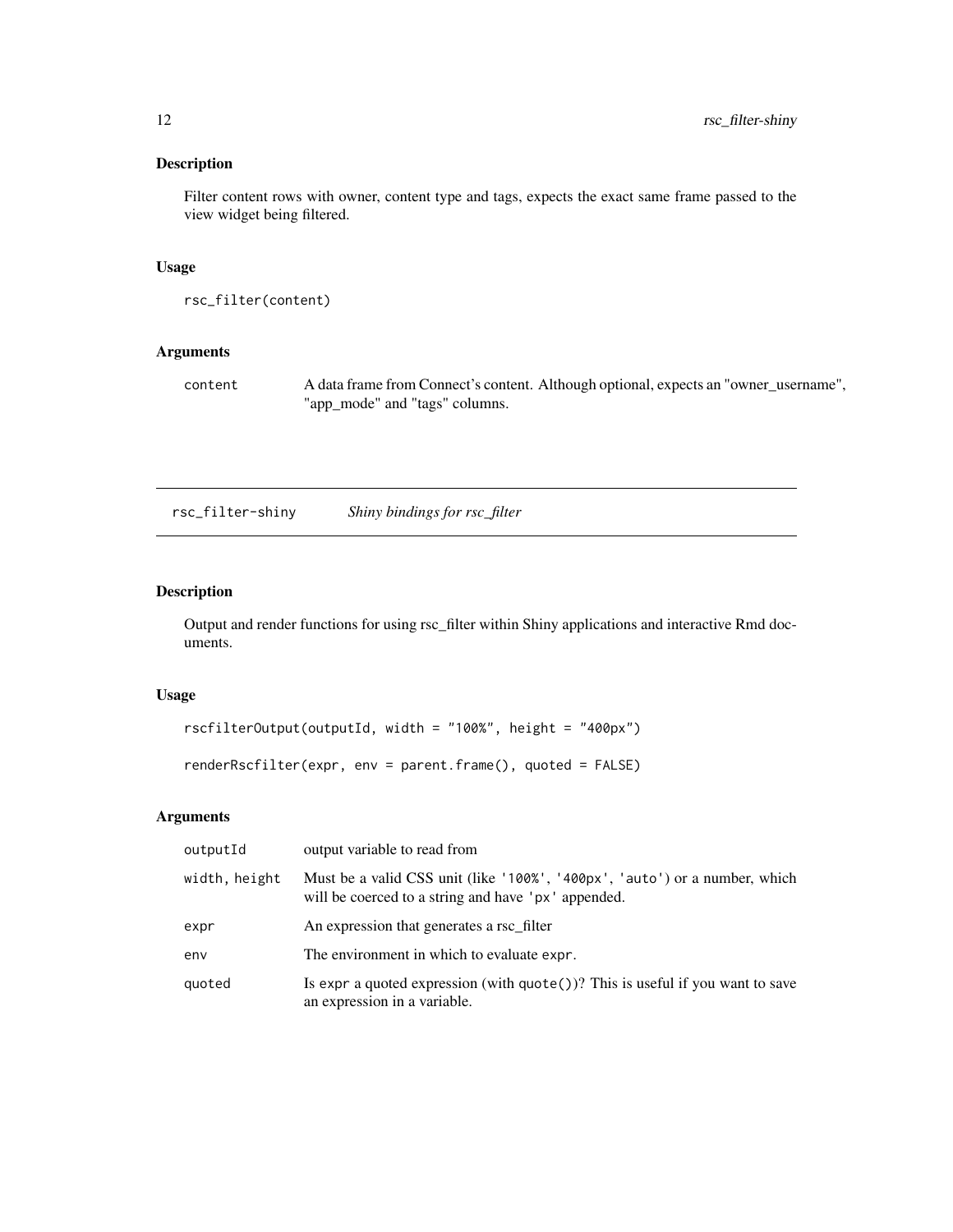<span id="page-11-0"></span>Filter content rows with owner, content type and tags, expects the exact same frame passed to the view widget being filtered.

#### Usage

```
rsc_filter(content)
```
# Arguments

content A data frame from Connect's content. Although optional, expects an "owner\_username", "app\_mode" and "tags" columns.

rsc\_filter-shiny *Shiny bindings for rsc\_filter*

# Description

Output and render functions for using rsc\_filter within Shiny applications and interactive Rmd documents.

# Usage

```
rscfilterOutput(outputId, width = "100%", height = "400px")
renderRscfilter(expr, env = parent.frame(), quoted = FALSE)
```

| outputId      | output variable to read from                                                                                                      |
|---------------|-----------------------------------------------------------------------------------------------------------------------------------|
| width, height | Must be a valid CSS unit (like '100%', '400px', 'auto') or a number, which<br>will be coerced to a string and have 'px' appended. |
| expr          | An expression that generates a rsc_filter                                                                                         |
| env           | The environment in which to evaluate expr.                                                                                        |
| quoted        | Is expr a quoted expression (with $\text{quote}()$ )? This is useful if you want to save<br>an expression in a variable.          |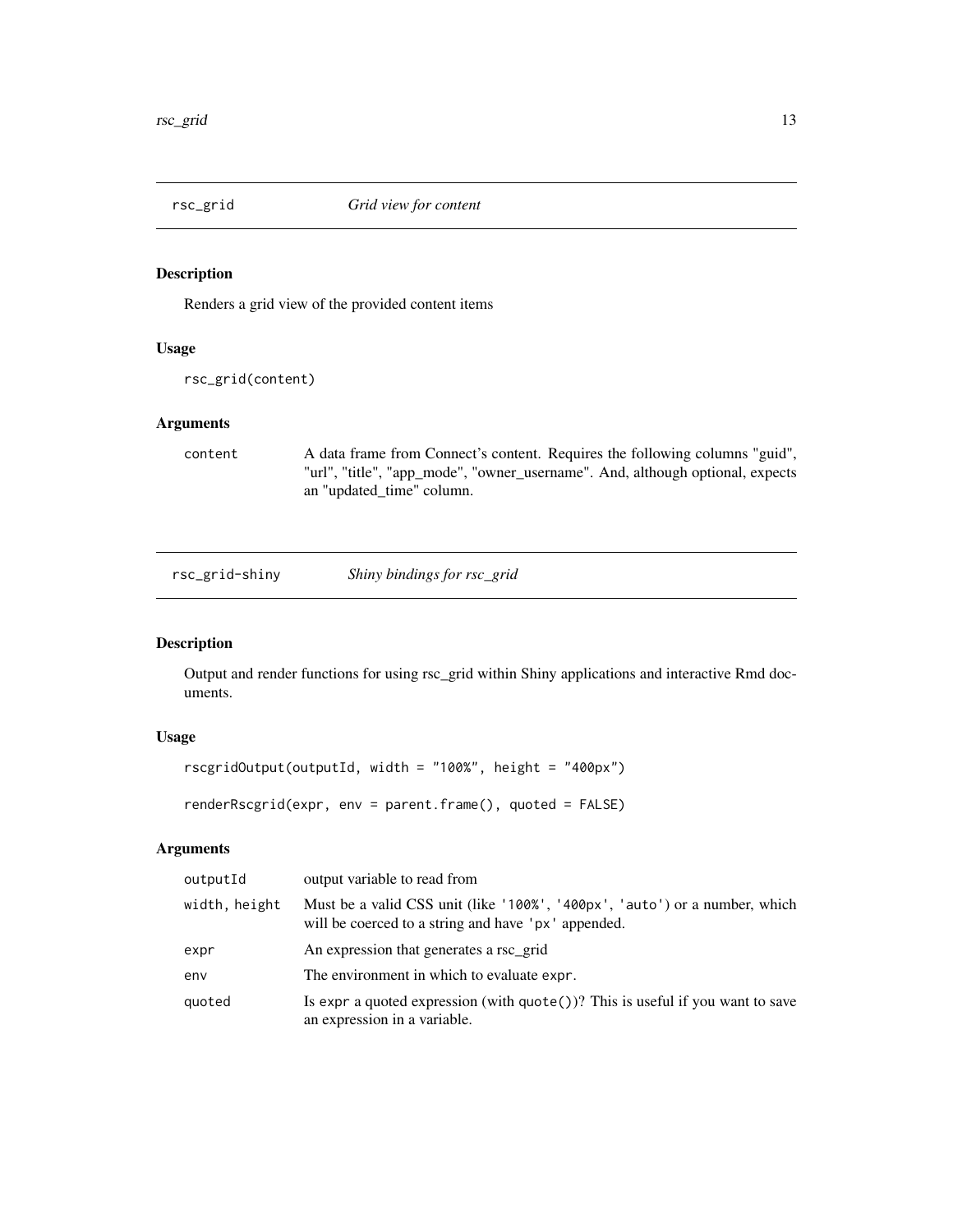<span id="page-12-1"></span><span id="page-12-0"></span>

Renders a grid view of the provided content items

#### Usage

```
rsc_grid(content)
```
# Arguments

content A data frame from Connect's content. Requires the following columns "guid", "url", "title", "app\_mode", "owner\_username". And, although optional, expects an "updated\_time" column.

rsc\_grid-shiny *Shiny bindings for rsc\_grid*

#### Description

Output and render functions for using rsc\_grid within Shiny applications and interactive Rmd documents.

# Usage

```
rscgridOutput(outputId, width = "100%", height = "400px")
```

```
renderRscgrid(expr, env = parent.frame(), quoted = FALSE)
```

| outputId      | output variable to read from                                                                                                      |
|---------------|-----------------------------------------------------------------------------------------------------------------------------------|
| width, height | Must be a valid CSS unit (like '100%', '400px', 'auto') or a number, which<br>will be coerced to a string and have 'px' appended. |
| expr          | An expression that generates a rsc_grid                                                                                           |
| env           | The environment in which to evaluate expr.                                                                                        |
| quoted        | Is expr a quoted expression (with $\text{quote}()$ ? This is useful if you want to save<br>an expression in a variable.           |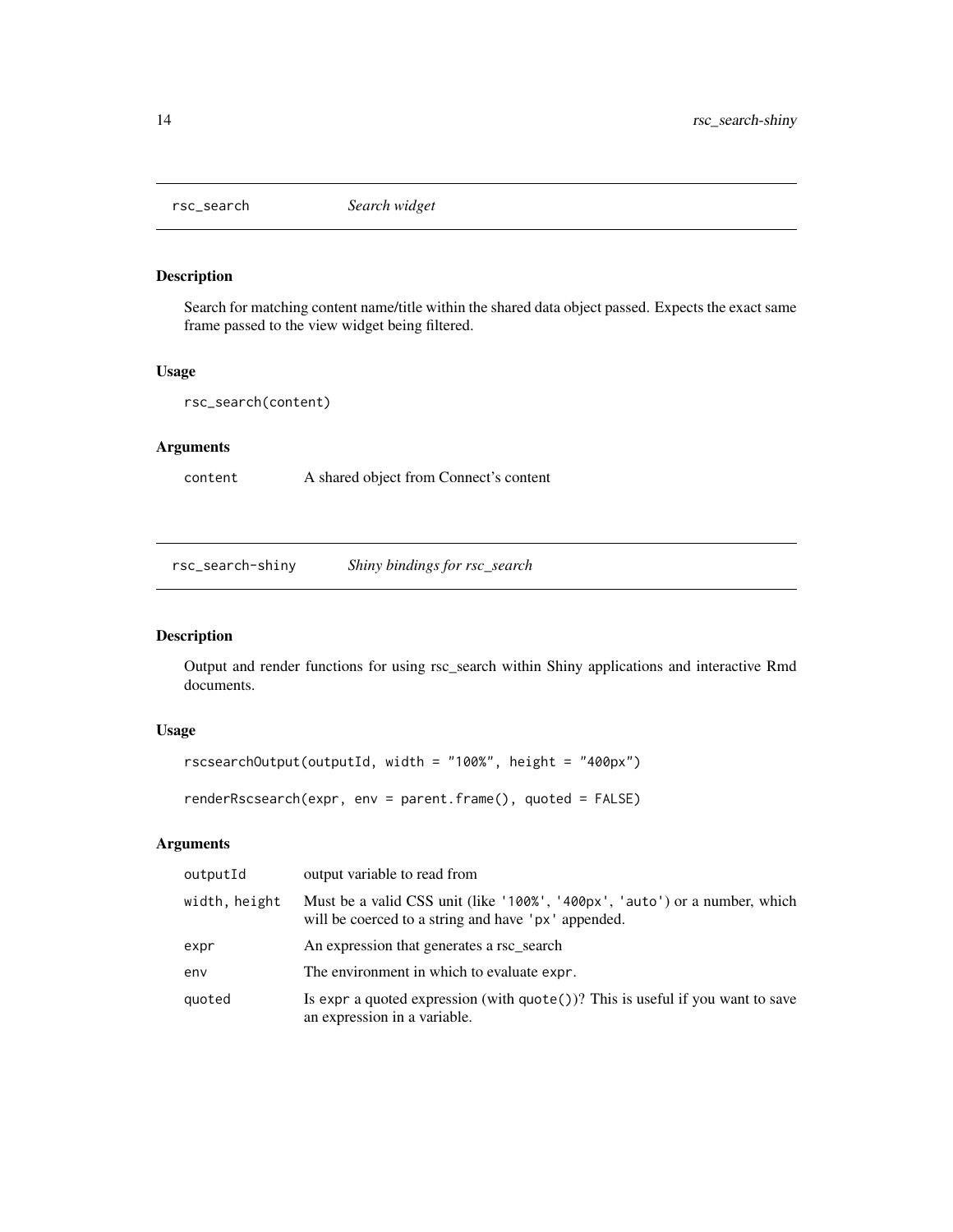<span id="page-13-1"></span><span id="page-13-0"></span>

Search for matching content name/title within the shared data object passed. Expects the exact same frame passed to the view widget being filtered.

#### Usage

```
rsc_search(content)
```
# Arguments

content A shared object from Connect's content

rsc\_search-shiny *Shiny bindings for rsc\_search*

# Description

Output and render functions for using rsc\_search within Shiny applications and interactive Rmd documents.

#### Usage

```
rscsearchOutput(outputId, width = "100%", height = "400px")
```
renderRscsearch(expr, env = parent.frame(), quoted = FALSE)

| outputId      | output variable to read from                                                                                                      |
|---------------|-----------------------------------------------------------------------------------------------------------------------------------|
| width, height | Must be a valid CSS unit (like '100%', '400px', 'auto') or a number, which<br>will be coerced to a string and have 'px' appended. |
| expr          | An expression that generates a rsc_search                                                                                         |
| env           | The environment in which to evaluate expr.                                                                                        |
| quoted        | Is expr a quoted expression (with $\text{quote}()$ )? This is useful if you want to save<br>an expression in a variable.          |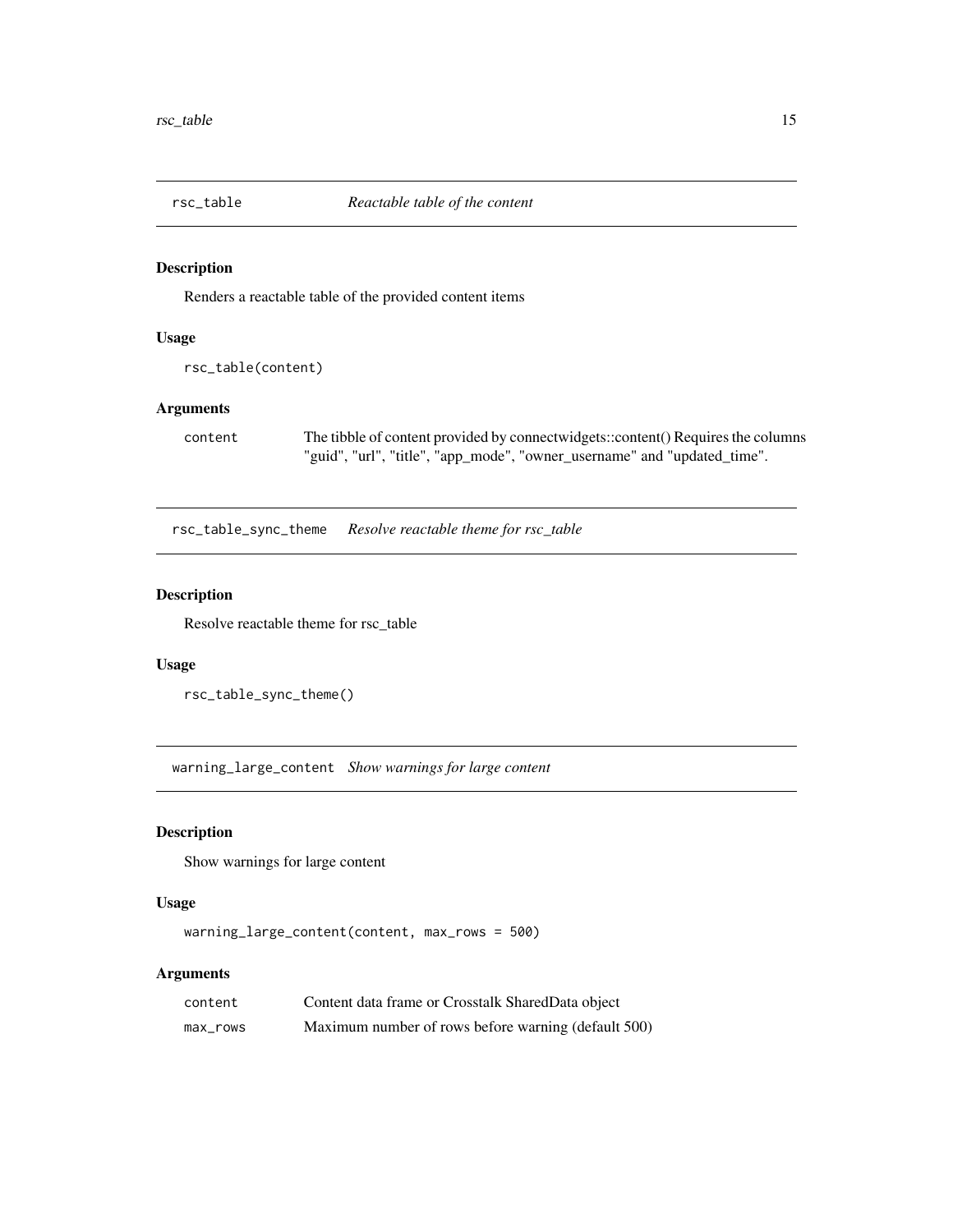<span id="page-14-1"></span><span id="page-14-0"></span>

Renders a reactable table of the provided content items

#### Usage

```
rsc_table(content)
```
# Arguments

content The tibble of content provided by connectwidgets::content() Requires the columns "guid", "url", "title", "app\_mode", "owner\_username" and "updated\_time".

rsc\_table\_sync\_theme *Resolve reactable theme for rsc\_table*

#### Description

Resolve reactable theme for rsc\_table

#### Usage

rsc\_table\_sync\_theme()

warning\_large\_content *Show warnings for large content*

#### Description

Show warnings for large content

#### Usage

```
warning_large_content(content, max_rows = 500)
```

| content  | Content data frame or Crosstalk Shared Data object  |
|----------|-----------------------------------------------------|
| max_rows | Maximum number of rows before warning (default 500) |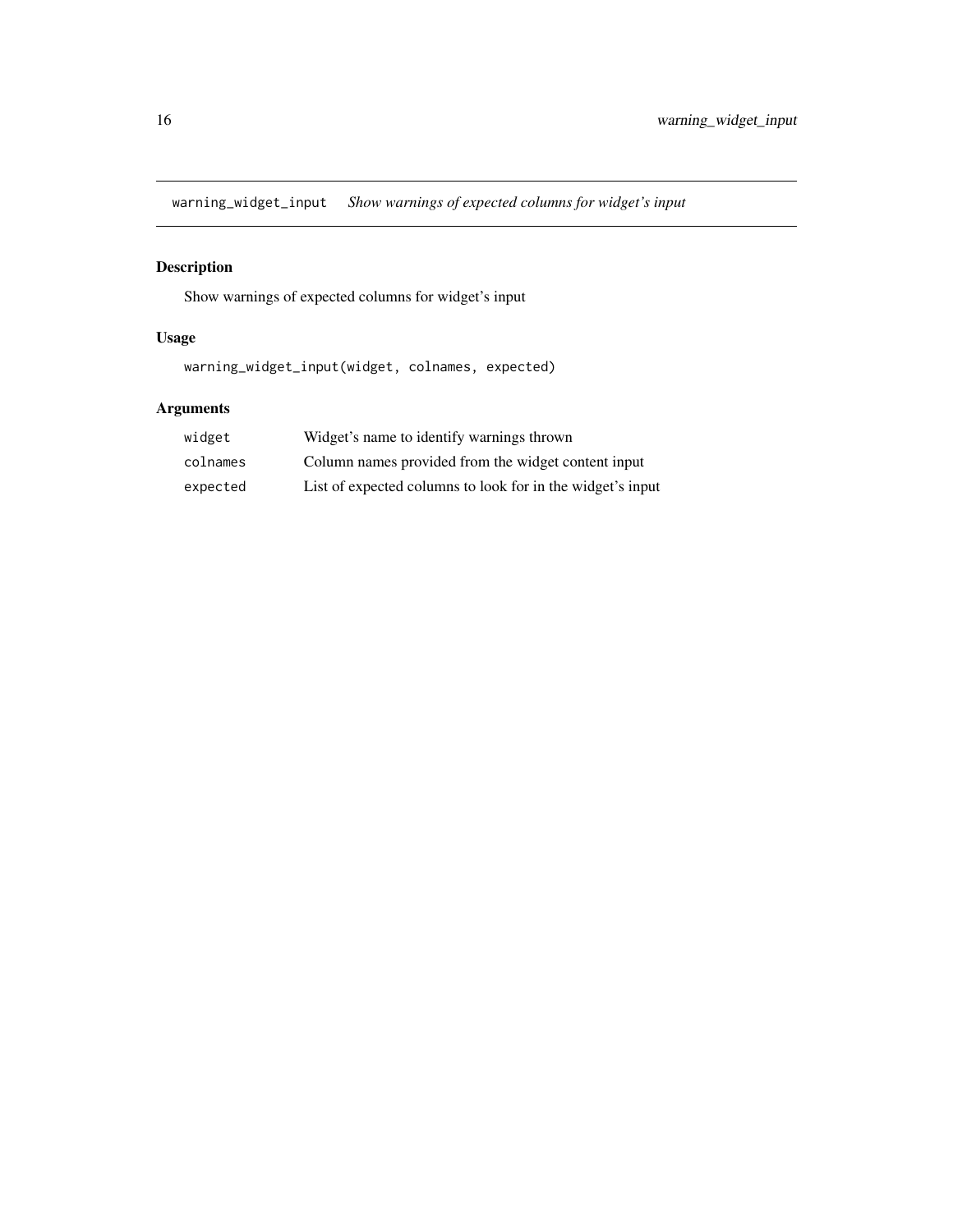<span id="page-15-0"></span>warning\_widget\_input *Show warnings of expected columns for widget's input*

# Description

Show warnings of expected columns for widget's input

# Usage

warning\_widget\_input(widget, colnames, expected)

| widget   | Widget's name to identify warnings thrown                  |
|----------|------------------------------------------------------------|
| colnames | Column names provided from the widget content input        |
| expected | List of expected columns to look for in the widget's input |